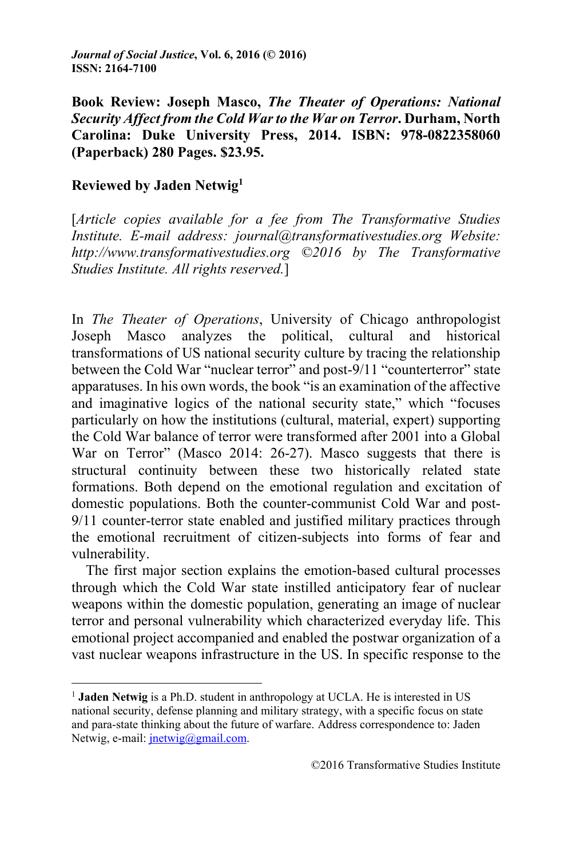**Book Review: Joseph Masco,** *The Theater of Operations: National Security Affect from the Cold War to the War on Terror***. Durham, North Carolina: Duke University Press, 2014. ISBN: 978-0822358060 (Paperback) 280 Pages. \$23.95.** 

## **Reviewed by Jaden Netwig1**

<u> 1989 - Johann Stein, fransk politik (d. 1989)</u>

[*Article copies available for a fee from The Transformative Studies Institute. E-mail address: journal@transformativestudies.org Website: http://www.transformativestudies.org ©2016 by The Transformative Studies Institute. All rights reserved.*]

In *The Theater of Operations*, University of Chicago anthropologist Joseph Masco analyzes the political, cultural and historical transformations of US national security culture by tracing the relationship between the Cold War "nuclear terror" and post-9/11 "counterterror" state apparatuses. In his own words, the book "is an examination of the affective and imaginative logics of the national security state," which "focuses particularly on how the institutions (cultural, material, expert) supporting the Cold War balance of terror were transformed after 2001 into a Global War on Terror" (Masco 2014: 26-27). Masco suggests that there is structural continuity between these two historically related state formations. Both depend on the emotional regulation and excitation of domestic populations. Both the counter-communist Cold War and post-9/11 counter-terror state enabled and justified military practices through the emotional recruitment of citizen-subjects into forms of fear and vulnerability.

The first major section explains the emotion-based cultural processes through which the Cold War state instilled anticipatory fear of nuclear weapons within the domestic population, generating an image of nuclear terror and personal vulnerability which characterized everyday life. This emotional project accompanied and enabled the postwar organization of a vast nuclear weapons infrastructure in the US. In specific response to the

<sup>&</sup>lt;sup>1</sup> **Jaden Netwig** is a Ph.D. student in anthropology at UCLA. He is interested in US national security, defense planning and military strategy, with a specific focus on state and para-state thinking about the future of warfare. Address correspondence to: Jaden Netwig, e-mail: jnetwig@gmail.com.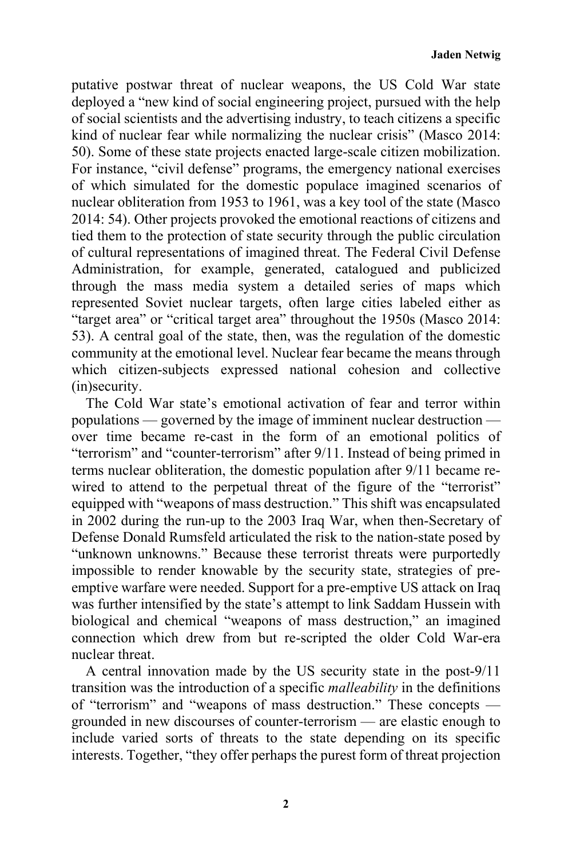putative postwar threat of nuclear weapons, the US Cold War state deployed a "new kind of social engineering project, pursued with the help of social scientists and the advertising industry, to teach citizens a specific kind of nuclear fear while normalizing the nuclear crisis" (Masco 2014: 50). Some of these state projects enacted large-scale citizen mobilization. For instance, "civil defense" programs, the emergency national exercises of which simulated for the domestic populace imagined scenarios of nuclear obliteration from 1953 to 1961, was a key tool of the state (Masco 2014: 54). Other projects provoked the emotional reactions of citizens and tied them to the protection of state security through the public circulation of cultural representations of imagined threat. The Federal Civil Defense Administration, for example, generated, catalogued and publicized through the mass media system a detailed series of maps which represented Soviet nuclear targets, often large cities labeled either as "target area" or "critical target area" throughout the 1950s (Masco 2014: 53). A central goal of the state, then, was the regulation of the domestic community at the emotional level. Nuclear fear became the means through which citizen-subjects expressed national cohesion and collective (in)security.

The Cold War state's emotional activation of fear and terror within populations — governed by the image of imminent nuclear destruction over time became re-cast in the form of an emotional politics of "terrorism" and "counter-terrorism" after 9/11. Instead of being primed in terms nuclear obliteration, the domestic population after 9/11 became rewired to attend to the perpetual threat of the figure of the "terrorist" equipped with "weapons of mass destruction." This shift was encapsulated in 2002 during the run-up to the 2003 Iraq War, when then-Secretary of Defense Donald Rumsfeld articulated the risk to the nation-state posed by "unknown unknowns." Because these terrorist threats were purportedly impossible to render knowable by the security state, strategies of preemptive warfare were needed. Support for a pre-emptive US attack on Iraq was further intensified by the state's attempt to link Saddam Hussein with biological and chemical "weapons of mass destruction," an imagined connection which drew from but re-scripted the older Cold War-era nuclear threat.

A central innovation made by the US security state in the post-9/11 transition was the introduction of a specific *malleability* in the definitions of "terrorism" and "weapons of mass destruction." These concepts grounded in new discourses of counter-terrorism — are elastic enough to include varied sorts of threats to the state depending on its specific interests. Together, "they offer perhaps the purest form of threat projection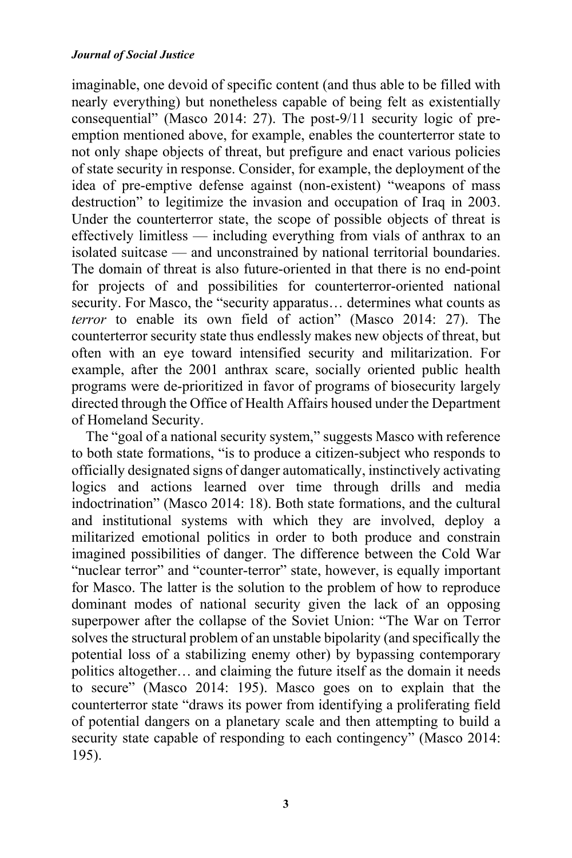imaginable, one devoid of specific content (and thus able to be filled with nearly everything) but nonetheless capable of being felt as existentially consequential" (Masco 2014: 27). The post-9/11 security logic of preemption mentioned above, for example, enables the counterterror state to not only shape objects of threat, but prefigure and enact various policies of state security in response. Consider, for example, the deployment of the idea of pre-emptive defense against (non-existent) "weapons of mass destruction" to legitimize the invasion and occupation of Iraq in 2003. Under the counterterror state, the scope of possible objects of threat is effectively limitless — including everything from vials of anthrax to an isolated suitcase — and unconstrained by national territorial boundaries. The domain of threat is also future-oriented in that there is no end-point for projects of and possibilities for counterterror-oriented national security. For Masco, the "security apparatus... determines what counts as *terror* to enable its own field of action" (Masco 2014: 27). The counterterror security state thus endlessly makes new objects of threat, but often with an eye toward intensified security and militarization. For example, after the 2001 anthrax scare, socially oriented public health programs were de-prioritized in favor of programs of biosecurity largely directed through the Office of Health Affairs housed under the Department of Homeland Security.

The "goal of a national security system," suggests Masco with reference to both state formations, "is to produce a citizen-subject who responds to officially designated signs of danger automatically, instinctively activating logics and actions learned over time through drills and media indoctrination" (Masco 2014: 18). Both state formations, and the cultural and institutional systems with which they are involved, deploy a militarized emotional politics in order to both produce and constrain imagined possibilities of danger. The difference between the Cold War "nuclear terror" and "counter-terror" state, however, is equally important for Masco. The latter is the solution to the problem of how to reproduce dominant modes of national security given the lack of an opposing superpower after the collapse of the Soviet Union: "The War on Terror solves the structural problem of an unstable bipolarity (and specifically the potential loss of a stabilizing enemy other) by bypassing contemporary politics altogether… and claiming the future itself as the domain it needs to secure" (Masco 2014: 195). Masco goes on to explain that the counterterror state "draws its power from identifying a proliferating field of potential dangers on a planetary scale and then attempting to build a security state capable of responding to each contingency" (Masco 2014: 195).